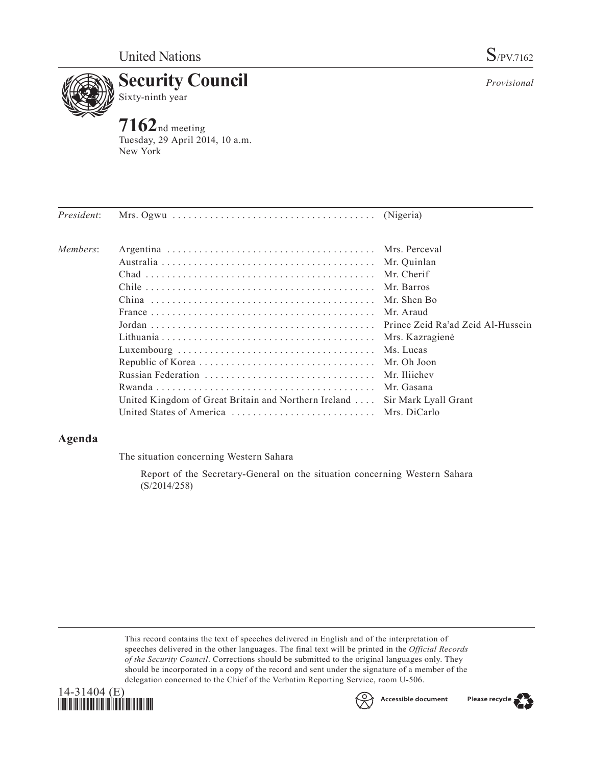

Sixty-ninth year

**7162**nd meeting Tuesday, 29 April 2014, 10 a.m. New York

| <i>President:</i> |                                                                            |  |
|-------------------|----------------------------------------------------------------------------|--|
| Members:          |                                                                            |  |
|                   |                                                                            |  |
|                   |                                                                            |  |
|                   |                                                                            |  |
|                   |                                                                            |  |
|                   |                                                                            |  |
|                   |                                                                            |  |
|                   |                                                                            |  |
|                   |                                                                            |  |
|                   |                                                                            |  |
|                   |                                                                            |  |
|                   |                                                                            |  |
|                   | United Kingdom of Great Britain and Northern Ireland  Sir Mark Lyall Grant |  |
|                   |                                                                            |  |
|                   |                                                                            |  |

# **Agenda**

The situation concerning Western Sahara

Report of the Secretary-General on the situation concerning Western Sahara (S/2014/258)

This record contains the text of speeches delivered in English and of the interpretation of speeches delivered in the other languages. The final text will be printed in the *Official Records of the Security Council*. Corrections should be submitted to the original languages only. They should be incorporated in a copy of the record and sent under the signature of a member of the delegation concerned to the Chief of the Verbatim Reporting Service, room U-506.